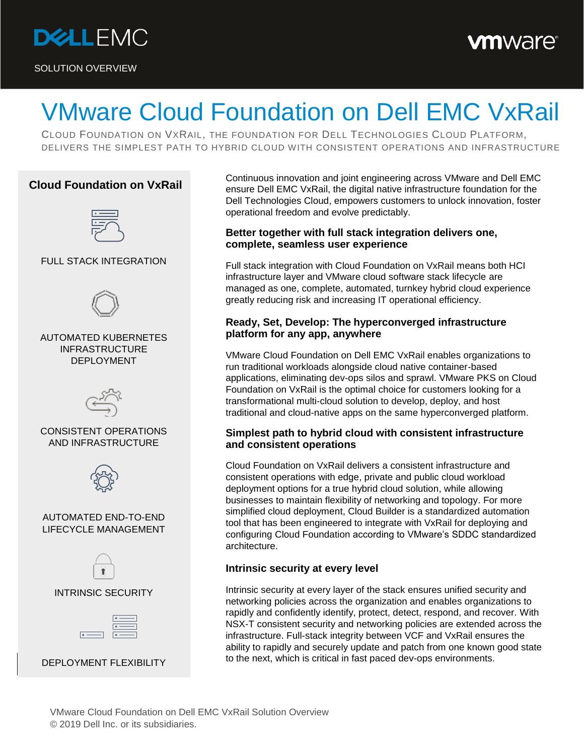

SOLUTION OVERVIEW

# **vm**ware<sup>®</sup>

# VMware Cloud Foundation on Dell EMC VxRail

CLOUD FOUNDATION ON VXRAIL, THE FOUNDATION FOR DELL TECHNOLOGIES CLOUD PLATFORM, DELIVERS THE SIMPLEST PATH TO HYBRID CLOUD WITH CONSISTENT OPERATIONS AND INFRASTRUCTURE

# **Cloud Foundation on VxRail**



#### FULL STACK INTEGRATION



AUTOMATED KUBERNETES INFRASTRUCTURE DEPLOYMENT



#### CONSISTENT OPERATIONS AND INFRASTRUCTURE



#### AUTOMATED END-TO-END LIFECYCLE MANAGEMENT



# INTRINSIC SECURITY



DEPLOYMENT FLEXIBILITY

Continuous innovation and joint engineering across VMware and Dell EMC ensure Dell EMC VxRail, the digital native infrastructure foundation for the Dell Technologies Cloud, empowers customers to unlock innovation, foster operational freedom and evolve predictably.

#### **Better together with full stack integration delivers one, complete, seamless user experience**

Full stack integration with Cloud Foundation on VxRail means both HCI infrastructure layer and VMware cloud software stack lifecycle are managed as one, complete, automated, turnkey hybrid cloud experience greatly reducing risk and increasing IT operational efficiency.

### **Ready, Set, Develop: The hyperconverged infrastructure platform for any app, anywhere**

VMware Cloud Foundation on Dell EMC VxRail enables organizations to run traditional workloads alongside cloud native container-based applications, eliminating dev-ops silos and sprawl. VMware PKS on Cloud Foundation on VxRail is the optimal choice for customers looking for a transformational multi-cloud solution to develop, deploy, and host traditional and cloud-native apps on the same hyperconverged platform.

#### **Simplest path to hybrid cloud with consistent infrastructure and consistent operations**

Cloud Foundation on VxRail delivers a consistent infrastructure and consistent operations with edge, private and public cloud workload deployment options for a true hybrid cloud solution, while allowing businesses to maintain flexibility of networking and topology. For more simplified cloud deployment, Cloud Builder is a standardized automation tool that has been engineered to integrate with VxRail for deploying and configuring Cloud Foundation according to VMware's SDDC standardized architecture.

# **Intrinsic security at every level**

Intrinsic security at every layer of the stack ensures unified security and networking policies across the organization and enables organizations to rapidly and confidently identify, protect, detect, respond, and recover. With NSX-T consistent security and networking policies are extended across the infrastructure. Full-stack integrity between VCF and VxRail ensures the ability to rapidly and securely update and patch from one known good state to the next, which is critical in fast paced dev-ops environments.